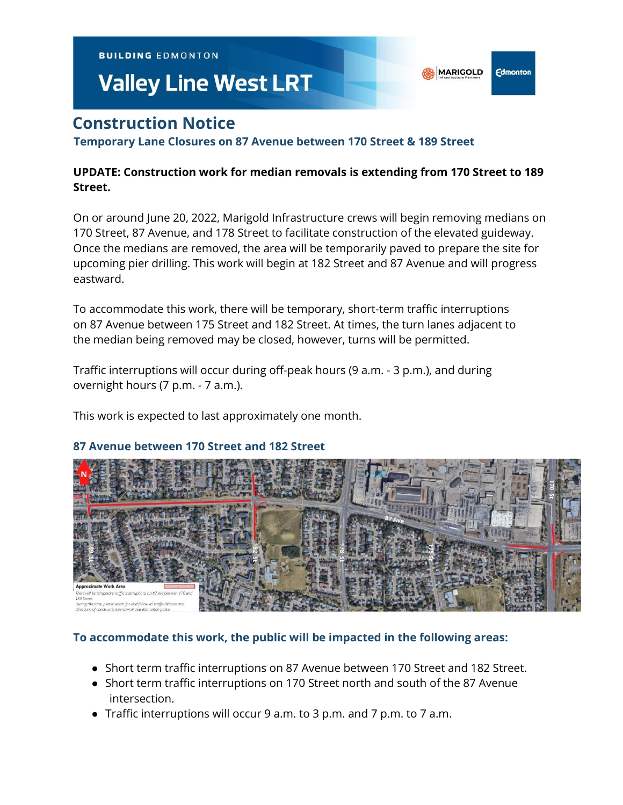**BUILDING EDMONTON** 

# **Valley Line West LRT**

## **Construction Notice**

**Temporary Lane Closures on 87 Avenue between 170 Street & 189 Street**

### **UPDATE: Construction work for median removals is extending from 170 Street to 189 Street.**

**MARIGOLD** 

**Edmonton** 

On or around June 20, 2022, Marigold Infrastructure crews will begin removing medians on 170 Street, 87 Avenue, and 178 Street to facilitate construction of the elevated guideway. Once the medians are removed, the area will be temporarily paved to prepare the site for upcoming pier drilling. This work will begin at 182 Street and 87 Avenue and will progress eastward.

To accommodate this work, there will be temporary, short-term traffic interruptions on 87 Avenue between 175 Street and 182 Street. At times, the turn lanes adjacent to the median being removed may be closed, however, turns will be permitted.

Traffic interruptions will occur during off-peak hours (9 a.m. - 3 p.m.), and during overnight hours (7 p.m. - 7 a.m.).

This work is expected to last approximately one month.

#### **87 Avenue between 170 Street and 182 Street**



#### **To accommodate this work, the public will be impacted in the following areas:**

- Short term traffic interruptions on 87 Avenue between 170 Street and 182 Street.
- Short term traffic interruptions on 170 Street north and south of the 87 Avenue intersection.
- Traffic interruptions will occur 9 a.m. to 3 p.m. and 7 p.m. to 7 a.m.